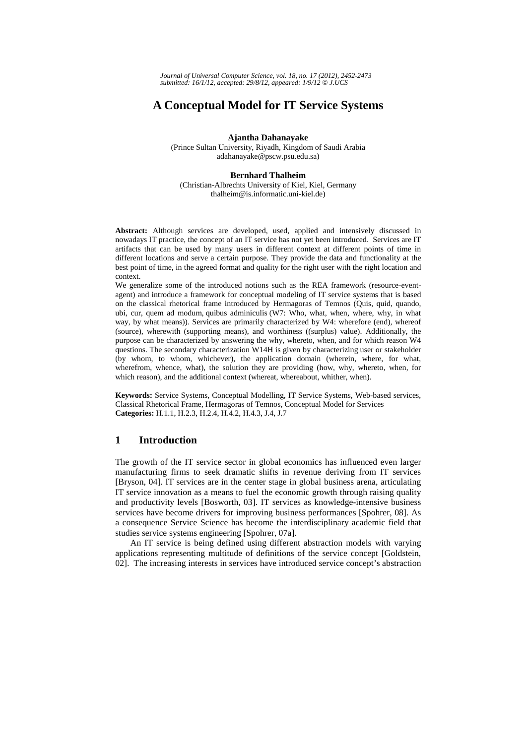*Journal of Universal Computer Science, vol. 18, no. 17 (2012), 2452-2473 submitted: 16/1/12, accepted: 29/8/12, appeared: 1/9/12* © *J.UCS*

# **A Conceptual Model for IT Service Systems**

**Ajantha Dahanayake** 

(Prince Sultan University, Riyadh, Kingdom of Saudi Arabia adahanayake@pscw.psu.edu.sa)

#### **Bernhard Thalheim**

(Christian-Albrechts University of Kiel, Kiel, Germany thalheim@is.informatic.uni-kiel.de)

**Abstract:** Although services are developed, used, applied and intensively discussed in nowadays IT practice, the concept of an IT service has not yet been introduced. Services are IT artifacts that can be used by many users in different context at different points of time in different locations and serve a certain purpose. They provide the data and functionality at the best point of time, in the agreed format and quality for the right user with the right location and context.

We generalize some of the introduced notions such as the REA framework (resource-eventagent) and introduce a framework for conceptual modeling of IT service systems that is based on the classical rhetorical frame introduced by Hermagoras of Temnos (Quis, quid, quando, ubi, cur, quem ad modum, quibus adminiculis (W7: Who, what, when, where, why, in what way, by what means)). Services are primarily characterized by W4: wherefore (end), whereof (source), wherewith (supporting means), and worthiness ((surplus) value). Additionally, the purpose can be characterized by answering the why, whereto, when, and for which reason W4 questions. The secondary characterization W14H is given by characterizing user or stakeholder (by whom, to whom, whichever), the application domain (wherein, where, for what, wherefrom, whence, what), the solution they are providing (how, why, whereto, when, for which reason), and the additional context (whereat, whereabout, whither, when).

**Keywords:** Service Systems, Conceptual Modelling, IT Service Systems, Web-based services, Classical Rhetorical Frame, Hermagoras of Temnos, Conceptual Model for Services **Categories:** H.1.1, H.2.3, H.2.4, H.4.2, H.4.3, J.4, J.7

## **1 Introduction**

The growth of the IT service sector in global economics has influenced even larger manufacturing firms to seek dramatic shifts in revenue deriving from IT services [Bryson, 04]. IT services are in the center stage in global business arena, articulating IT service innovation as a means to fuel the economic growth through raising quality and productivity levels [Bosworth, 03]. IT services as knowledge-intensive business services have become drivers for improving business performances [Spohrer, 08]. As a consequence Service Science has become the interdisciplinary academic field that studies service systems engineering [Spohrer, 07a].

An IT service is being defined using different abstraction models with varying applications representing multitude of definitions of the service concept [Goldstein, 02]. The increasing interests in services have introduced service concept's abstraction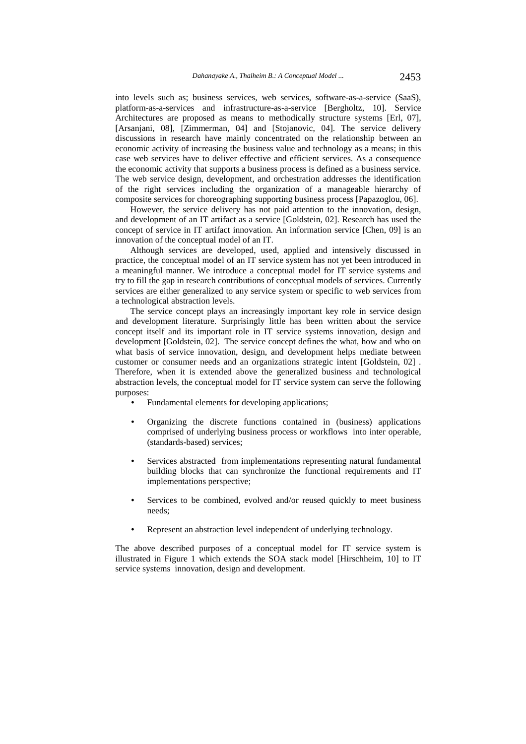into levels such as; business services, web services, software-as-a-service (SaaS), platform-as-a-services and infrastructure-as-a-service [Bergholtz, 10]. Service Architectures are proposed as means to methodically structure systems [Erl, 07], [Arsanjani, 08], [Zimmerman, 04] and [Stojanovic, 04]. The service delivery discussions in research have mainly concentrated on the relationship between an economic activity of increasing the business value and technology as a means; in this case web services have to deliver effective and efficient services. As a consequence the economic activity that supports a business process is defined as a business service. The web service design, development, and orchestration addresses the identification of the right services including the organization of a manageable hierarchy of composite services for choreographing supporting business process [Papazoglou, 06].

However, the service delivery has not paid attention to the innovation, design, and development of an IT artifact as a service [Goldstein, 02]. Research has used the concept of service in IT artifact innovation. An information service [Chen, 09] is an innovation of the conceptual model of an IT.

Although services are developed, used, applied and intensively discussed in practice, the conceptual model of an IT service system has not yet been introduced in a meaningful manner. We introduce a conceptual model for IT service systems and try to fill the gap in research contributions of conceptual models of services. Currently services are either generalized to any service system or specific to web services from a technological abstraction levels.

The service concept plays an increasingly important key role in service design and development literature. Surprisingly little has been written about the service concept itself and its important role in IT service systems innovation, design and development [Goldstein, 02]. The service concept defines the what, how and who on what basis of service innovation, design, and development helps mediate between customer or consumer needs and an organizations strategic intent [Goldstein, 02] . Therefore, when it is extended above the generalized business and technological abstraction levels, the conceptual model for IT service system can serve the following purposes:

- Fundamental elements for developing applications;
- Organizing the discrete functions contained in (business) applications comprised of underlying business process or workflows into inter operable, (standards-based) services;
- Services abstracted from implementations representing natural fundamental building blocks that can synchronize the functional requirements and IT implementations perspective;
- Services to be combined, evolved and/or reused quickly to meet business needs;
- Represent an abstraction level independent of underlying technology.

The above described purposes of a conceptual model for IT service system is illustrated in Figure 1 which extends the SOA stack model [Hirschheim, 10] to IT service systems innovation, design and development.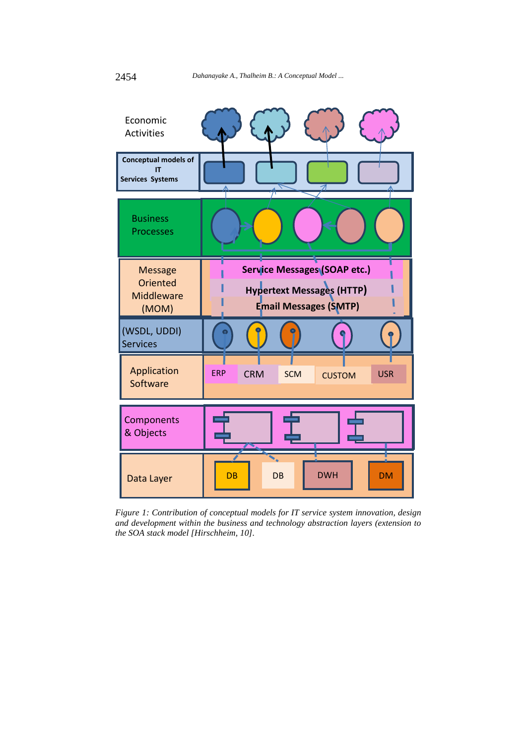

*Figure 1: Contribution of conceptual models for IT service system innovation, design and development within the business and technology abstraction layers (extension to the SOA stack model [Hirschheim, 10].*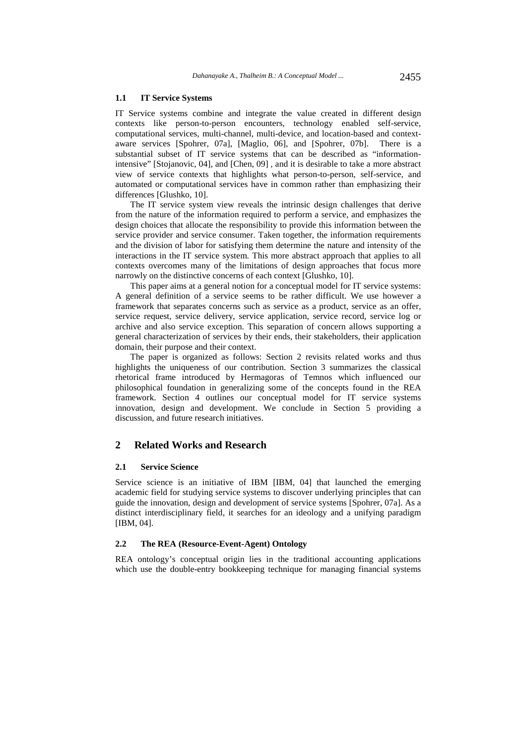#### **1.1 IT Service Systems**

IT Service systems combine and integrate the value created in different design contexts like person-to-person encounters, technology enabled self-service, computational services, multi-channel, multi-device, and location-based and contextaware services [Spohrer, 07a], [Maglio, 06], and [Spohrer, 07b]. There is a substantial subset of IT service systems that can be described as "informationintensive" [Stojanovic, 04], and [Chen, 09] , and it is desirable to take a more abstract view of service contexts that highlights what person-to-person, self-service, and automated or computational services have in common rather than emphasizing their differences [Glushko, 10].

The IT service system view reveals the intrinsic design challenges that derive from the nature of the information required to perform a service, and emphasizes the design choices that allocate the responsibility to provide this information between the service provider and service consumer. Taken together, the information requirements and the division of labor for satisfying them determine the nature and intensity of the interactions in the IT service system. This more abstract approach that applies to all contexts overcomes many of the limitations of design approaches that focus more narrowly on the distinctive concerns of each context [Glushko, 10].

This paper aims at a general notion for a conceptual model for IT service systems: A general definition of a service seems to be rather difficult. We use however a framework that separates concerns such as service as a product, service as an offer, service request, service delivery, service application, service record, service log or archive and also service exception. This separation of concern allows supporting a general characterization of services by their ends, their stakeholders, their application domain, their purpose and their context.

The paper is organized as follows: Section 2 revisits related works and thus highlights the uniqueness of our contribution. Section 3 summarizes the classical rhetorical frame introduced by Hermagoras of Temnos which influenced our philosophical foundation in generalizing some of the concepts found in the REA framework. Section 4 outlines our conceptual model for IT service systems innovation, design and development. We conclude in Section 5 providing a discussion, and future research initiatives.

## **2 Related Works and Research**

#### **2.1 Service Science**

Service science is an initiative of IBM [IBM, 04] that launched the emerging academic field for studying service systems to discover underlying principles that can guide the innovation, design and development of service systems [Spohrer, 07a]. As a distinct interdisciplinary field, it searches for an ideology and a unifying paradigm [IBM, 04].

#### **2.2 The REA (Resource-Event-Agent) Ontology**

REA ontology's conceptual origin lies in the traditional accounting applications which use the double-entry bookkeeping technique for managing financial systems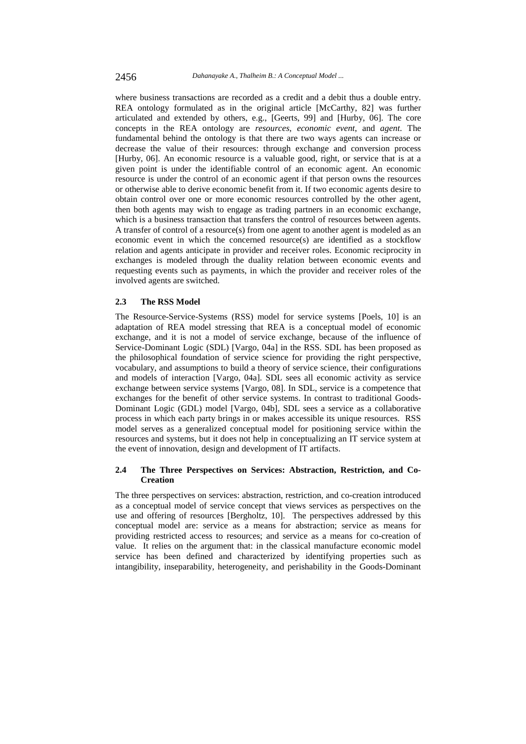where business transactions are recorded as a credit and a debit thus a double entry. REA ontology formulated as in the original article [McCarthy, 82] was further articulated and extended by others, e.g., [Geerts, 99] and [Hurby, 06]. The core concepts in the REA ontology are *resources*, *economic event*, and *agent*. The fundamental behind the ontology is that there are two ways agents can increase or decrease the value of their resources: through exchange and conversion process [Hurby, 06]. An economic resource is a valuable good, right, or service that is at a given point is under the identifiable control of an economic agent. An economic resource is under the control of an economic agent if that person owns the resources or otherwise able to derive economic benefit from it. If two economic agents desire to obtain control over one or more economic resources controlled by the other agent, then both agents may wish to engage as trading partners in an economic exchange, which is a business transaction that transfers the control of resources between agents. A transfer of control of a resource(s) from one agent to another agent is modeled as an economic event in which the concerned resource(s) are identified as a stockflow relation and agents anticipate in provider and receiver roles. Economic reciprocity in exchanges is modeled through the duality relation between economic events and requesting events such as payments, in which the provider and receiver roles of the involved agents are switched.

#### **2.3 The RSS Model**

The Resource-Service-Systems (RSS) model for service systems [Poels, 10] is an adaptation of REA model stressing that REA is a conceptual model of economic exchange, and it is not a model of service exchange, because of the influence of Service-Dominant Logic (SDL) [Vargo, 04a] in the RSS. SDL has been proposed as the philosophical foundation of service science for providing the right perspective, vocabulary, and assumptions to build a theory of service science, their configurations and models of interaction [Vargo, 04a]. SDL sees all economic activity as service exchange between service systems [Vargo, 08]. In SDL, service is a competence that exchanges for the benefit of other service systems. In contrast to traditional Goods-Dominant Logic (GDL) model [Vargo, 04b], SDL sees a service as a collaborative process in which each party brings in or makes accessible its unique resources. RSS model serves as a generalized conceptual model for positioning service within the resources and systems, but it does not help in conceptualizing an IT service system at the event of innovation, design and development of IT artifacts.

### **2.4 The Three Perspectives on Services: Abstraction, Restriction, and Co-Creation**

The three perspectives on services: abstraction, restriction, and co-creation introduced as a conceptual model of service concept that views services as perspectives on the use and offering of resources [Bergholtz, 10]. The perspectives addressed by this conceptual model are: service as a means for abstraction; service as means for providing restricted access to resources; and service as a means for co-creation of value. It relies on the argument that: in the classical manufacture economic model service has been defined and characterized by identifying properties such as intangibility, inseparability, heterogeneity, and perishability in the Goods-Dominant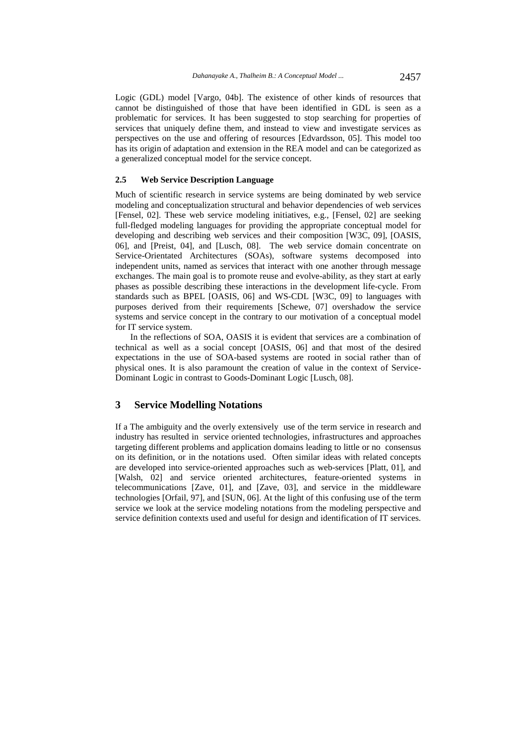Logic (GDL) model [Vargo, 04b]. The existence of other kinds of resources that cannot be distinguished of those that have been identified in GDL is seen as a problematic for services. It has been suggested to stop searching for properties of services that uniquely define them, and instead to view and investigate services as perspectives on the use and offering of resources [Edvardsson, 05]. This model too has its origin of adaptation and extension in the REA model and can be categorized as a generalized conceptual model for the service concept.

#### **2.5 Web Service Description Language**

Much of scientific research in service systems are being dominated by web service modeling and conceptualization structural and behavior dependencies of web services [Fensel, 02]. These web service modeling initiatives, e.g., [Fensel, 02] are seeking full-fledged modeling languages for providing the appropriate conceptual model for developing and describing web services and their composition [W3C, 09], [OASIS, 06], and [Preist, 04], and [Lusch, 08]. The web service domain concentrate on Service-Orientated Architectures (SOAs), software systems decomposed into independent units, named as services that interact with one another through message exchanges. The main goal is to promote reuse and evolve-ability, as they start at early phases as possible describing these interactions in the development life-cycle. From standards such as BPEL [OASIS, 06] and WS-CDL [W3C, 09] to languages with purposes derived from their requirements [Schewe, 07] overshadow the service systems and service concept in the contrary to our motivation of a conceptual model for IT service system.

In the reflections of SOA, OASIS it is evident that services are a combination of technical as well as a social concept [OASIS, 06] and that most of the desired expectations in the use of SOA-based systems are rooted in social rather than of physical ones. It is also paramount the creation of value in the context of Service-Dominant Logic in contrast to Goods-Dominant Logic [Lusch, 08].

### **3 Service Modelling Notations**

If a The ambiguity and the overly extensively use of the term service in research and industry has resulted in service oriented technologies, infrastructures and approaches targeting different problems and application domains leading to little or no consensus on its definition, or in the notations used. Often similar ideas with related concepts are developed into service-oriented approaches such as web-services [Platt, 01], and [Walsh, 02] and service oriented architectures, feature-oriented systems in telecommunications [Zave, 01], and [Zave, 03], and service in the middleware technologies [Orfail, 97], and [SUN, 06]. At the light of this confusing use of the term service we look at the service modeling notations from the modeling perspective and service definition contexts used and useful for design and identification of IT services.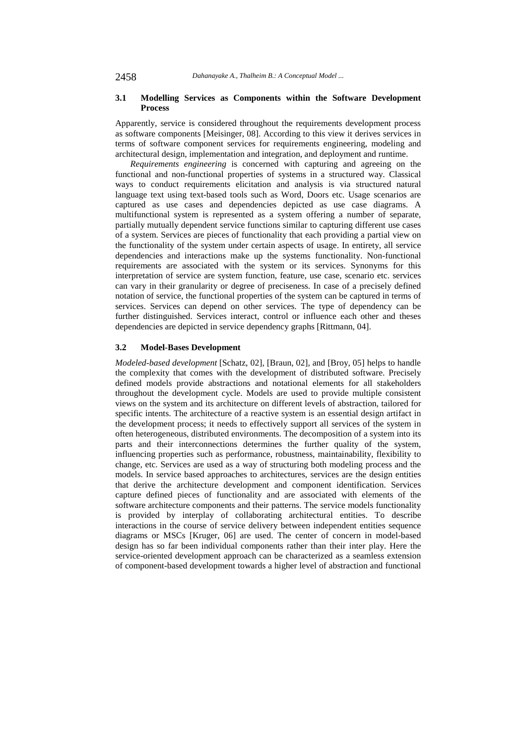### **3.1 Modelling Services as Components within the Software Development Process**

Apparently, service is considered throughout the requirements development process as software components [Meisinger, 08]. According to this view it derives services in terms of software component services for requirements engineering, modeling and architectural design, implementation and integration, and deployment and runtime.

*Requirements engineering* is concerned with capturing and agreeing on the functional and non-functional properties of systems in a structured way. Classical ways to conduct requirements elicitation and analysis is via structured natural language text using text-based tools such as Word, Doors etc. Usage scenarios are captured as use cases and dependencies depicted as use case diagrams. A multifunctional system is represented as a system offering a number of separate, partially mutually dependent service functions similar to capturing different use cases of a system. Services are pieces of functionality that each providing a partial view on the functionality of the system under certain aspects of usage. In entirety, all service dependencies and interactions make up the systems functionality. Non-functional requirements are associated with the system or its services. Synonyms for this interpretation of service are system function, feature, use case, scenario etc. services can vary in their granularity or degree of preciseness. In case of a precisely defined notation of service, the functional properties of the system can be captured in terms of services. Services can depend on other services. The type of dependency can be further distinguished. Services interact, control or influence each other and theses dependencies are depicted in service dependency graphs [Rittmann, 04].

### **3.2 Model-Bases Development**

*Modeled-based development* [Schatz, 02], [Braun, 02], and [Broy, 05] helps to handle the complexity that comes with the development of distributed software. Precisely defined models provide abstractions and notational elements for all stakeholders throughout the development cycle. Models are used to provide multiple consistent views on the system and its architecture on different levels of abstraction, tailored for specific intents. The architecture of a reactive system is an essential design artifact in the development process; it needs to effectively support all services of the system in often heterogeneous, distributed environments. The decomposition of a system into its parts and their interconnections determines the further quality of the system, influencing properties such as performance, robustness, maintainability, flexibility to change, etc. Services are used as a way of structuring both modeling process and the models. In service based approaches to architectures, services are the design entities that derive the architecture development and component identification. Services capture defined pieces of functionality and are associated with elements of the software architecture components and their patterns. The service models functionality is provided by interplay of collaborating architectural entities. To describe interactions in the course of service delivery between independent entities sequence diagrams or MSCs [Kruger, 06] are used. The center of concern in model-based design has so far been individual components rather than their inter play. Here the service-oriented development approach can be characterized as a seamless extension of component-based development towards a higher level of abstraction and functional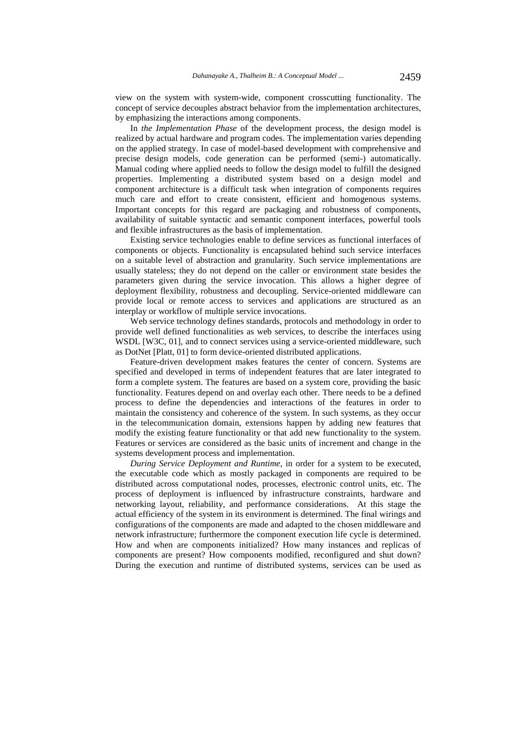view on the system with system-wide, component crosscutting functionality. The concept of service decouples abstract behavior from the implementation architectures, by emphasizing the interactions among components.

In *the Implementation Phase* of the development process, the design model is realized by actual hardware and program codes. The implementation varies depending on the applied strategy. In case of model-based development with comprehensive and precise design models, code generation can be performed (semi-) automatically. Manual coding where applied needs to follow the design model to fulfill the designed properties. Implementing a distributed system based on a design model and component architecture is a difficult task when integration of components requires much care and effort to create consistent, efficient and homogenous systems. Important concepts for this regard are packaging and robustness of components, availability of suitable syntactic and semantic component interfaces, powerful tools and flexible infrastructures as the basis of implementation.

Existing service technologies enable to define services as functional interfaces of components or objects. Functionality is encapsulated behind such service interfaces on a suitable level of abstraction and granularity. Such service implementations are usually stateless; they do not depend on the caller or environment state besides the parameters given during the service invocation. This allows a higher degree of deployment flexibility, robustness and decoupling. Service-oriented middleware can provide local or remote access to services and applications are structured as an interplay or workflow of multiple service invocations.

Web service technology defines standards, protocols and methodology in order to provide well defined functionalities as web services, to describe the interfaces using WSDL [W3C, 01], and to connect services using a service-oriented middleware, such as DotNet [Platt, 01] to form device-oriented distributed applications.

Feature-driven development makes features the center of concern. Systems are specified and developed in terms of independent features that are later integrated to form a complete system. The features are based on a system core, providing the basic functionality. Features depend on and overlay each other. There needs to be a defined process to define the dependencies and interactions of the features in order to maintain the consistency and coherence of the system. In such systems, as they occur in the telecommunication domain, extensions happen by adding new features that modify the existing feature functionality or that add new functionality to the system. Features or services are considered as the basic units of increment and change in the systems development process and implementation.

*During Service Deployment and Runtime*, in order for a system to be executed, the executable code which as mostly packaged in components are required to be distributed across computational nodes, processes, electronic control units, etc. The process of deployment is influenced by infrastructure constraints, hardware and networking layout, reliability, and performance considerations. At this stage the actual efficiency of the system in its environment is determined. The final wirings and configurations of the components are made and adapted to the chosen middleware and network infrastructure; furthermore the component execution life cycle is determined. How and when are components initialized? How many instances and replicas of components are present? How components modified, reconfigured and shut down? During the execution and runtime of distributed systems, services can be used as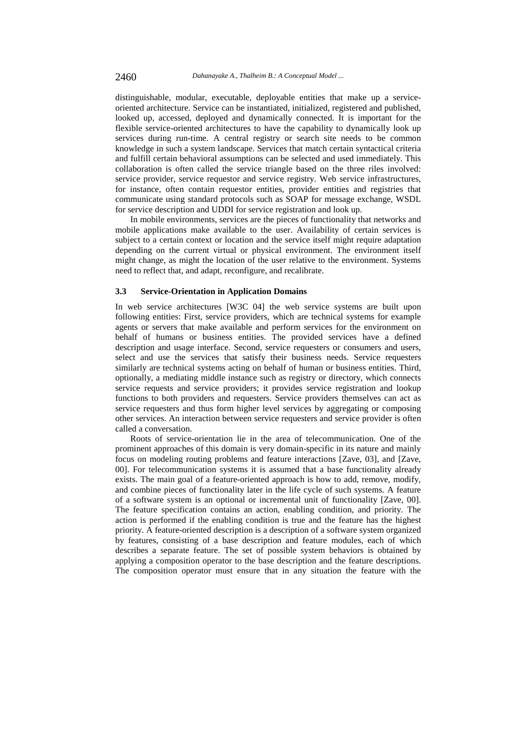distinguishable, modular, executable, deployable entities that make up a serviceoriented architecture. Service can be instantiated, initialized, registered and published, looked up, accessed, deployed and dynamically connected. It is important for the flexible service-oriented architectures to have the capability to dynamically look up services during run-time. A central registry or search site needs to be common knowledge in such a system landscape. Services that match certain syntactical criteria and fulfill certain behavioral assumptions can be selected and used immediately. This collaboration is often called the service triangle based on the three riles involved: service provider, service requestor and service registry. Web service infrastructures, for instance, often contain requestor entities, provider entities and registries that communicate using standard protocols such as SOAP for message exchange, WSDL for service description and UDDI for service registration and look up.

In mobile environments, services are the pieces of functionality that networks and mobile applications make available to the user. Availability of certain services is subject to a certain context or location and the service itself might require adaptation depending on the current virtual or physical environment. The environment itself might change, as might the location of the user relative to the environment. Systems need to reflect that, and adapt, reconfigure, and recalibrate.

#### **3.3 Service-Orientation in Application Domains**

In web service architectures [W3C 04] the web service systems are built upon following entities: First, service providers, which are technical systems for example agents or servers that make available and perform services for the environment on behalf of humans or business entities. The provided services have a defined description and usage interface. Second, service requesters or consumers and users, select and use the services that satisfy their business needs. Service requesters similarly are technical systems acting on behalf of human or business entities. Third, optionally, a mediating middle instance such as registry or directory, which connects service requests and service providers; it provides service registration and lookup functions to both providers and requesters. Service providers themselves can act as service requesters and thus form higher level services by aggregating or composing other services. An interaction between service requesters and service provider is often called a conversation.

Roots of service-orientation lie in the area of telecommunication. One of the prominent approaches of this domain is very domain-specific in its nature and mainly focus on modeling routing problems and feature interactions [Zave, 03], and [Zave, 00]. For telecommunication systems it is assumed that a base functionality already exists. The main goal of a feature-oriented approach is how to add, remove, modify, and combine pieces of functionality later in the life cycle of such systems. A feature of a software system is an optional or incremental unit of functionality [Zave, 00]. The feature specification contains an action, enabling condition, and priority. The action is performed if the enabling condition is true and the feature has the highest priority. A feature-oriented description is a description of a software system organized by features, consisting of a base description and feature modules, each of which describes a separate feature. The set of possible system behaviors is obtained by applying a composition operator to the base description and the feature descriptions. The composition operator must ensure that in any situation the feature with the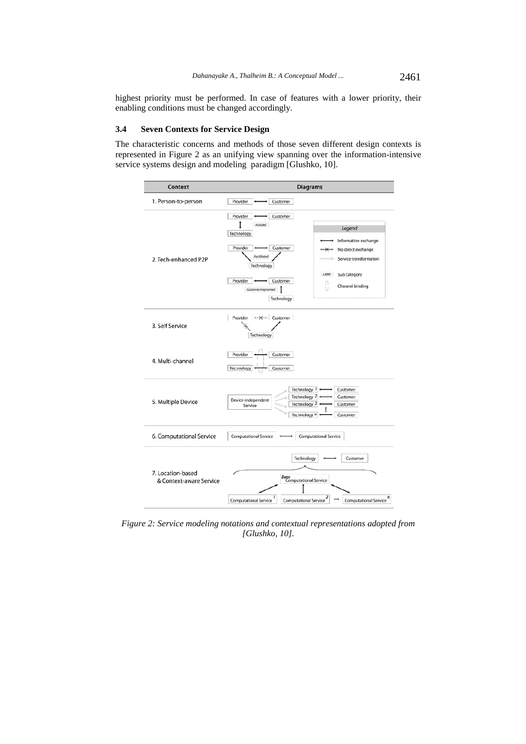highest priority must be performed. In case of features with a lower priority, their enabling conditions must be changed accordingly.

#### **3.4 Seven Contexts for Service Design**

The characteristic concerns and methods of those seven different design contexts is represented in Figure 2 as an unifying view spanning over the information-intensive service systems design and modeling paradigm [Glushko, 10].



*Figure 2: Service modeling notations and contextual representations adopted from [Glushko, 10].*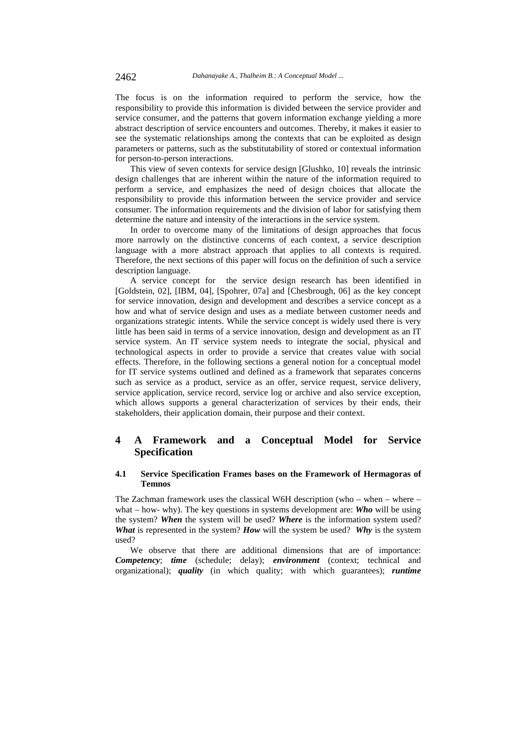The focus is on the information required to perform the service, how the responsibility to provide this information is divided between the service provider and service consumer, and the patterns that govern information exchange yielding a more abstract description of service encounters and outcomes. Thereby, it makes it easier to see the systematic relationships among the contexts that can be exploited as design parameters or patterns, such as the substitutability of stored or contextual information for person-to-person interactions.

This view of seven contexts for service design [Glushko, 10] reveals the intrinsic design challenges that are inherent within the nature of the information required to perform a service, and emphasizes the need of design choices that allocate the responsibility to provide this information between the service provider and service consumer. The information requirements and the division of labor for satisfying them determine the nature and intensity of the interactions in the service system.

In order to overcome many of the limitations of design approaches that focus more narrowly on the distinctive concerns of each context, a service description language with a more abstract approach that applies to all contexts is required. Therefore, the next sections of this paper will focus on the definition of such a service description language.

A service concept for the service design research has been identified in [Goldstein, 02], [IBM, 04], [Spohrer, 07a] and [Chesbrough, 06] as the key concept for service innovation, design and development and describes a service concept as a how and what of service design and uses as a mediate between customer needs and organizations strategic intents. While the service concept is widely used there is very little has been said in terms of a service innovation, design and development as an IT service system. An IT service system needs to integrate the social, physical and technological aspects in order to provide a service that creates value with social effects. Therefore, in the following sections a general notion for a conceptual model for IT service systems outlined and defined as a framework that separates concerns such as service as a product, service as an offer, service request, service delivery, service application, service record, service log or archive and also service exception, which allows supports a general characterization of services by their ends, their stakeholders, their application domain, their purpose and their context.

## **4 A Framework and a Conceptual Model for Service Specification**

### **4.1 Service Specification Frames bases on the Framework of Hermagoras of Temnos**

The Zachman framework uses the classical W6H description (who – when – where – what – how- why). The key questions in systems development are: *Who* will be using the system? *When* the system will be used? *Where* is the information system used? *What* is represented in the system? *How* will the system be used? *Why* is the system used?

We observe that there are additional dimensions that are of importance: *Competency*; *time* (schedule; delay); *environment* (context; technical and organizational); *quality* (in which quality; with which guarantees); *runtime*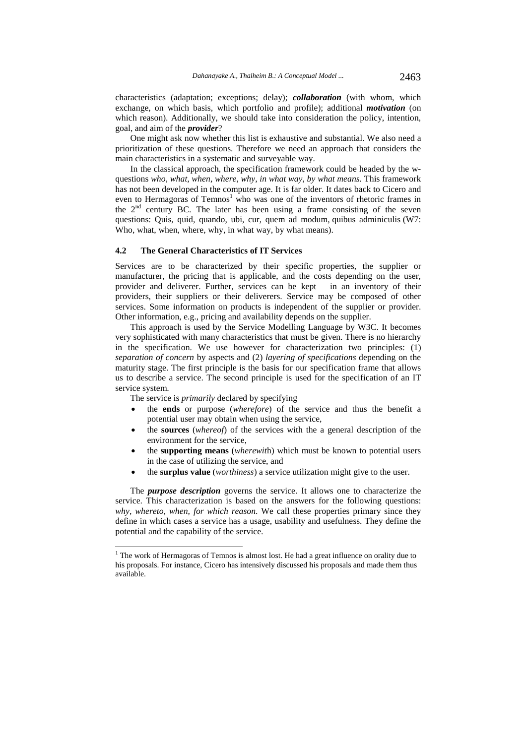characteristics (adaptation; exceptions; delay); *collaboration* (with whom, which exchange, on which basis, which portfolio and profile); additional *motivation* (on which reason). Additionally, we should take into consideration the policy, intention, goal, and aim of the *provider*?

One might ask now whether this list is exhaustive and substantial. We also need a prioritization of these questions. Therefore we need an approach that considers the main characteristics in a systematic and surveyable way.

In the classical approach, the specification framework could be headed by the wquestions *who, what, when, where, why, in what way, by what means.* This framework has not been developed in the computer age. It is far older. It dates back to Cicero and even to Hermagoras of Temnos<sup>1</sup> who was one of the inventors of rhetoric frames in the  $2<sup>nd</sup>$  century BC. The later has been using a frame consisting of the seven questions: Quis, quid, quando, ubi, cur, quem ad modum, quibus adminiculis (W7: Who, what, when, where, why, in what way, by what means).

### **4.2 The General Characteristics of IT Services**

Services are to be characterized by their specific properties, the supplier or manufacturer, the pricing that is applicable, and the costs depending on the user, provider and deliverer. Further, services can be kept in an inventory of their providers, their suppliers or their deliverers. Service may be composed of other services. Some information on products is independent of the supplier or provider. Other information, e.g., pricing and availability depends on the supplier.

This approach is used by the Service Modelling Language by W3C. It becomes very sophisticated with many characteristics that must be given. There is no hierarchy in the specification. We use however for characterization two principles: (1) *separation of concern* by aspects and (2) *layering of specifications* depending on the maturity stage. The first principle is the basis for our specification frame that allows us to describe a service. The second principle is used for the specification of an IT service system.

The service is *primarily* declared by specifying

l

- the **ends** or purpose (*wherefore*) of the service and thus the benefit a potential user may obtain when using the service,
- the **sources** (*whereof*) of the services with the a general description of the environment for the service,
- the **supporting means** (*wherewit*h) which must be known to potential users in the case of utilizing the service, and
- the **surplus value** (*worthiness*) a service utilization might give to the user.

The *purpose description* governs the service. It allows one to characterize the service. This characterization is based on the answers for the following questions: *why, whereto, when, for which reason*. We call these properties primary since they define in which cases a service has a usage, usability and usefulness. They define the potential and the capability of the service.

 $1$  The work of Hermagoras of Temnos is almost lost. He had a great influence on orality due to his proposals. For instance, Cicero has intensively discussed his proposals and made them thus available.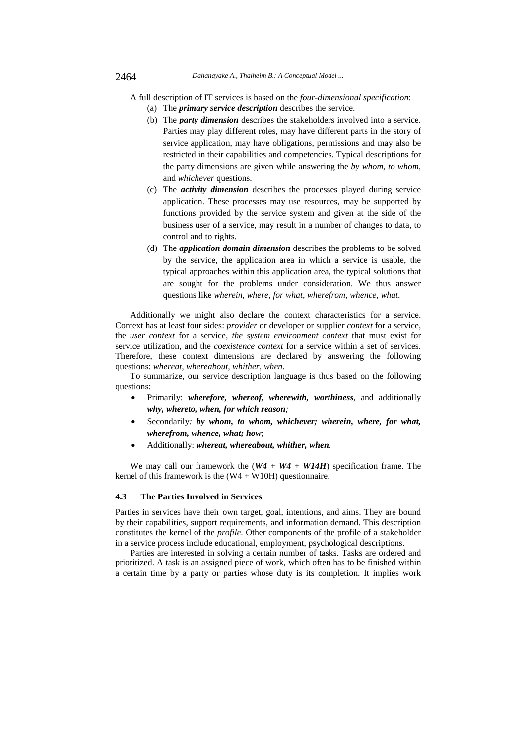A full description of IT services is based on the *four-dimensional specification*:

- (a) The *primary service description* describes the service.
- (b) The *party dimension* describes the stakeholders involved into a service. Parties may play different roles, may have different parts in the story of service application, may have obligations, permissions and may also be restricted in their capabilities and competencies. Typical descriptions for the party dimensions are given while answering the *by whom, to whom,*  and *whichever* questions.
- (c) The *activity dimension* describes the processes played during service application. These processes may use resources, may be supported by functions provided by the service system and given at the side of the business user of a service, may result in a number of changes to data, to control and to rights.
- (d) The *application domain dimension* describes the problems to be solved by the service, the application area in which a service is usable, the typical approaches within this application area, the typical solutions that are sought for the problems under consideration. We thus answer questions like *wherein, where, for what, wherefrom, whence, what*.

Additionally we might also declare the context characteristics for a service. Context has at least four sides: *provider* or developer or supplier *context* for a service, the *user context* for a service, *the system environment context* that must exist for service utilization, and the *coexistence context* for a service within a set of services. Therefore, these context dimensions are declared by answering the following questions: *whereat, whereabout, whither, when*.

To summarize, our service description language is thus based on the following questions:

- Primarily: *wherefore, whereof, wherewith, worthiness,* and additionally *why, whereto, when, for which reason;*
- Secondarily*: by whom, to whom, whichever; wherein, where, for what, wherefrom, whence, what; how*;
- Additionally: *whereat, whereabout, whither, when*.

We may call our framework the (*W4 + W4 + W14H*) specification frame. The kernel of this framework is the  $(W4 + W10H)$  questionnaire.

#### **4.3 The Parties Involved in Services**

Parties in services have their own target, goal, intentions, and aims. They are bound by their capabilities, support requirements, and information demand. This description constitutes the kernel of the *profile*. Other components of the profile of a stakeholder in a service process include educational, employment, psychological descriptions.

Parties are interested in solving a certain number of tasks. Tasks are ordered and prioritized. A task is an assigned piece of work, which often has to be finished within a certain time by a party or parties whose duty is its completion. It implies work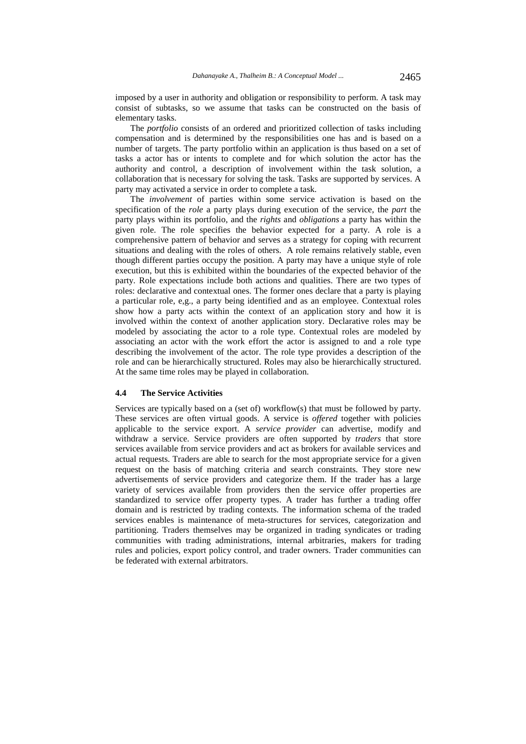imposed by a user in authority and obligation or responsibility to perform. A task may consist of subtasks, so we assume that tasks can be constructed on the basis of elementary tasks.

The *portfolio* consists of an ordered and prioritized collection of tasks including compensation and is determined by the responsibilities one has and is based on a number of targets. The party portfolio within an application is thus based on a set of tasks a actor has or intents to complete and for which solution the actor has the authority and control, a description of involvement within the task solution, a collaboration that is necessary for solving the task. Tasks are supported by services. A party may activated a service in order to complete a task.

The *involvement* of parties within some service activation is based on the specification of the *role* a party plays during execution of the service, the *part* the party plays within its portfolio, and the *rights* and *obligations* a party has within the given role. The role specifies the behavior expected for a party. A role is a comprehensive pattern of behavior and serves as a strategy for coping with recurrent situations and dealing with the roles of others. A role remains relatively stable, even though different parties occupy the position. A party may have a unique style of role execution, but this is exhibited within the boundaries of the expected behavior of the party. Role expectations include both actions and qualities. There are two types of roles: declarative and contextual ones. The former ones declare that a party is playing a particular role, e,g., a party being identified and as an employee. Contextual roles show how a party acts within the context of an application story and how it is involved within the context of another application story. Declarative roles may be modeled by associating the actor to a role type. Contextual roles are modeled by associating an actor with the work effort the actor is assigned to and a role type describing the involvement of the actor. The role type provides a description of the role and can be hierarchically structured. Roles may also be hierarchically structured. At the same time roles may be played in collaboration.

### **4.4 The Service Activities**

Services are typically based on a (set of) workflow(s) that must be followed by party. These services are often virtual goods. A service is *offered* together with policies applicable to the service export. A *service provider* can advertise, modify and withdraw a service. Service providers are often supported by *traders* that store services available from service providers and act as brokers for available services and actual requests. Traders are able to search for the most appropriate service for a given request on the basis of matching criteria and search constraints. They store new advertisements of service providers and categorize them. If the trader has a large variety of services available from providers then the service offer properties are standardized to service offer property types. A trader has further a trading offer domain and is restricted by trading contexts. The information schema of the traded services enables is maintenance of meta-structures for services, categorization and partitioning. Traders themselves may be organized in trading syndicates or trading communities with trading administrations, internal arbitraries, makers for trading rules and policies, export policy control, and trader owners. Trader communities can be federated with external arbitrators.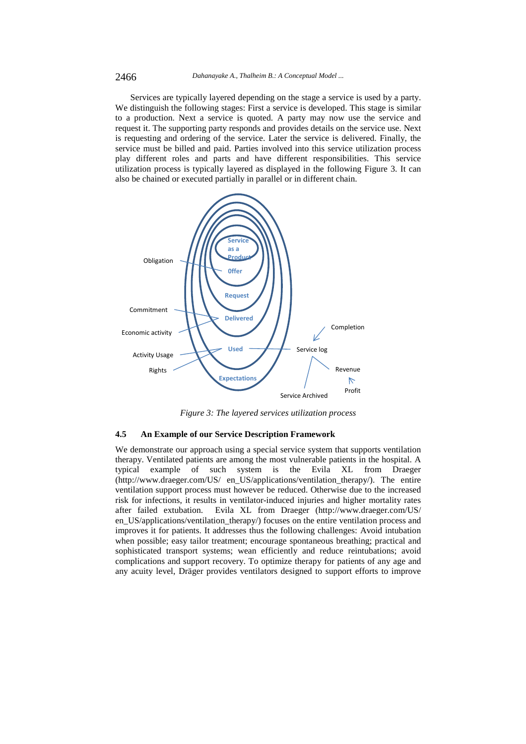Services are typically layered depending on the stage a service is used by a party. We distinguish the following stages: First a service is developed. This stage is similar to a production. Next a service is quoted. A party may now use the service and request it. The supporting party responds and provides details on the service use. Next is requesting and ordering of the service. Later the service is delivered. Finally, the service must be billed and paid. Parties involved into this service utilization process play different roles and parts and have different responsibilities. This service utilization process is typically layered as displayed in the following Figure 3. It can also be chained or executed partially in parallel or in different chain.



*Figure 3: The layered services utilization process* 

#### **4.5 An Example of our Service Description Framework**

We demonstrate our approach using a special service system that supports ventilation therapy. Ventilated patients are among the most vulnerable patients in the hospital. A typical example of such system is the Evila XL from Draeger (http://www.draeger.com/US/ en\_US/applications/ventilation\_therapy/). The entire ventilation support process must however be reduced. Otherwise due to the increased risk for infections, it results in ventilator-induced injuries and higher mortality rates after failed extubation. Evila XL from Draeger (http://www.draeger.com/US/ en US/applications/ventilation therapy/) focuses on the entire ventilation process and improves it for patients. It addresses thus the following challenges: Avoid intubation when possible; easy tailor treatment; encourage spontaneous breathing; practical and sophisticated transport systems; wean efficiently and reduce reintubations; avoid complications and support recovery. To optimize therapy for patients of any age and any acuity level, Dräger provides ventilators designed to support efforts to improve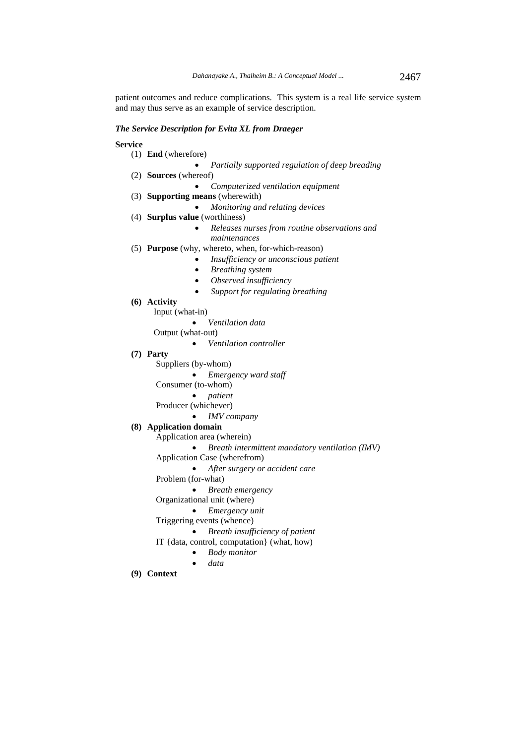patient outcomes and reduce complications. This system is a real life service system and may thus serve as an example of service description.

#### *The Service Description for Evita XL from Draeger*

### **Service**

- (1) **End** (wherefore)
	- *Partially supported regulation of deep breading*
- (2) **Sources** (whereof) *Computerized ventilation equipment*
- (3) **Supporting means** (wherewith)
	- *Monitoring and relating devices*
- (4) **Surplus value** (worthiness)
	- *Releases nurses from routine observations and maintenances*
- (5) **Purpose** (why, whereto, when, for-which-reason)
	- *Insufficiency or unconscious patient* 
		- *Breathing system*
		- *Observed insufficiency*
		- *Support for regulating breathing*
- **(6) Activity** 
	- Input (what-in)
		- *Ventilation data*

Output (what-out)

- *Ventilation controller*
- **(7) Party** 
	- Suppliers (by-whom)
		- *Emergency ward staff*
	- Consumer (to-whom)
		- *patient*
	- Producer (whichever)
		- *IMV company*

### **(8) Application domain**

- Application area (wherein)
- *Breath intermittent mandatory ventilation (IMV)*

Application Case (wherefrom)

- *After surgery or accident care*
- Problem (for-what)
	- *Breath emergency*

Organizational unit (where)

#### *Emergency unit*

- Triggering events (whence)
	- *Breath insufficiency of patient*
- IT {data, control, computation} (what, how)
	- *Body monitor*
	- *data*
- **(9) Context**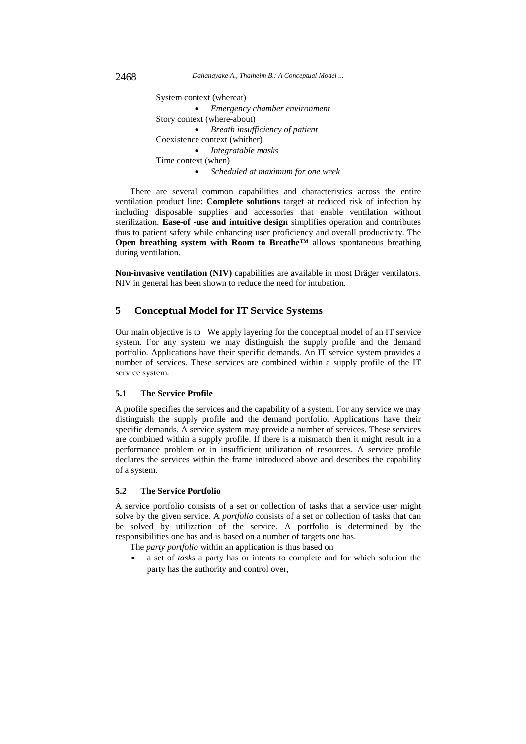2468 *Dahanayake A., Thalheim B.: A Conceptual Model ...*

 System context (whereat) *Emergency chamber environment*  Story context (where-about) *Breath insufficiency of patient*  Coexistence context (whither) *Integratable masks* Time context (when) *Scheduled at maximum for one week* 

There are several common capabilities and characteristics across the entire ventilation product line: **Complete solutions** target at reduced risk of infection by including disposable supplies and accessories that enable ventilation without sterilization. **Ease-of -use and intuitive design** simplifies operation and contributes thus to patient safety while enhancing user proficiency and overall productivity. The **Open breathing system with Room to Breathe™** allows spontaneous breathing during ventilation.

**Non-invasive ventilation (NIV)** capabilities are available in most Dräger ventilators. NIV in general has been shown to reduce the need for intubation.

## **5 Conceptual Model for IT Service Systems**

Our main objective is to We apply layering for the conceptual model of an IT service system. For any system we may distinguish the supply profile and the demand portfolio. Applications have their specific demands. An IT service system provides a number of services. These services are combined within a supply profile of the IT service system.

### **5.1 The Service Profile**

A profile specifies the services and the capability of a system. For any service we may distinguish the supply profile and the demand portfolio. Applications have their specific demands. A service system may provide a number of services. These services are combined within a supply profile. If there is a mismatch then it might result in a performance problem or in insufficient utilization of resources. A service profile declares the services within the frame introduced above and describes the capability of a system.

### **5.2 The Service Portfolio**

A service portfolio consists of a set or collection of tasks that a service user might solve by the given service. A *portfolio* consists of a set or collection of tasks that can be solved by utilization of the service. A portfolio is determined by the responsibilities one has and is based on a number of targets one has.

The *party portfolio* within an application is thus based on

 a set of *tasks* a party has or intents to complete and for which solution the party has the authority and control over,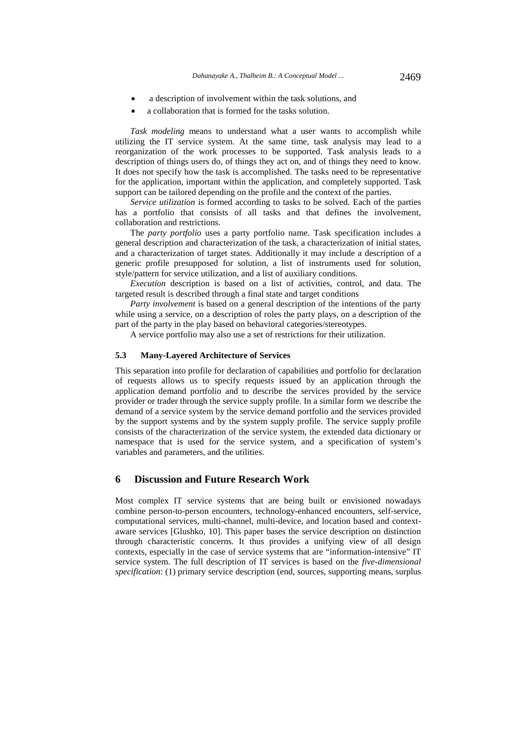- a description of involvement within the task solutions, and
- a collaboration that is formed for the tasks solution.

*Task modeling* means to understand what a user wants to accomplish while utilizing the IT service system. At the same time, task analysis may lead to a reorganization of the work processes to be supported. Task analysis leads to a description of things users do, of things they act on, and of things they need to know. It does not specify how the task is accomplished. The tasks need to be representative for the application, important within the application, and completely supported. Task support can be tailored depending on the profile and the context of the parties.

*Service utilization* is formed according to tasks to be solved. Each of the parties has a portfolio that consists of all tasks and that defines the involvement, collaboration and restrictions.

The *party portfolio* uses a party portfolio name. Task specification includes a general description and characterization of the task, a characterization of initial states, and a characterization of target states. Additionally it may include a description of a generic profile presupposed for solution, a list of instruments used for solution, style/pattern for service utilization, and a list of auxiliary conditions.

*Execution* description is based on a list of activities, control, and data. The targeted result is described through a final state and target conditions

*Party involvement* is based on a general description of the intentions of the party while using a service, on a description of roles the party plays, on a description of the part of the party in the play based on behavioral categories/stereotypes.

A service portfolio may also use a set of restrictions for their utilization.

#### **5.3 Many-Layered Architecture of Services**

This separation into profile for declaration of capabilities and portfolio for declaration of requests allows us to specify requests issued by an application through the application demand portfolio and to describe the services provided by the service provider or trader through the service supply profile. In a similar form we describe the demand of a service system by the service demand portfolio and the services provided by the support systems and by the system supply profile. The service supply profile consists of the characterization of the service system, the extended data dictionary or namespace that is used for the service system, and a specification of system's variables and parameters, and the utilities.

## **6 Discussion and Future Research Work**

Most complex IT service systems that are being built or envisioned nowadays combine person-to-person encounters, technology-enhanced encounters, self-service, computational services, multi-channel, multi-device, and location based and contextaware services [Glushko, 10]. This paper bases the service description on distinction through characteristic concerns. It thus provides a unifying view of all design contexts, especially in the case of service systems that are "information-intensive" IT service system. The full description of IT services is based on the *five-dimensional specification*: (1) primary service description (end, sources, supporting means, surplus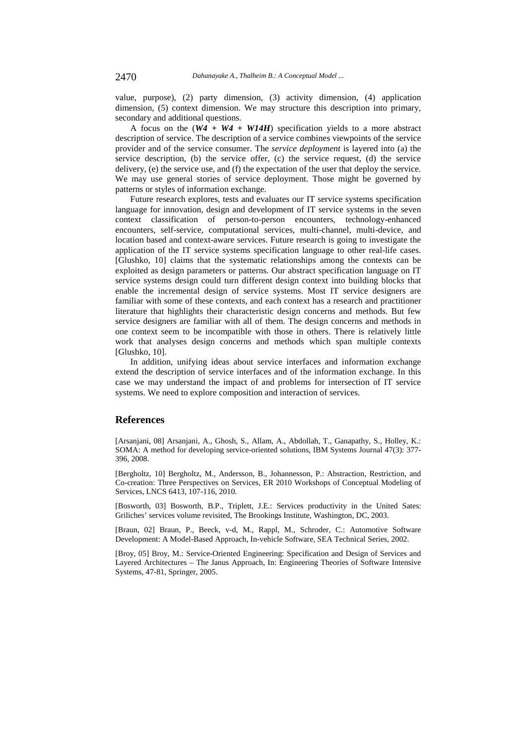value, purpose), (2) party dimension, (3) activity dimension, (4) application dimension, (5) context dimension. We may structure this description into primary, secondary and additional questions.

A focus on the (*W4 + W4 + W14H*) specification yields to a more abstract description of service. The description of a service combines viewpoints of the service provider and of the service consumer. The *service deployment* is layered into (a) the service description, (b) the service offer, (c) the service request, (d) the service delivery, (e) the service use, and (f) the expectation of the user that deploy the service. We may use general stories of service deployment. Those might be governed by patterns or styles of information exchange.

Future research explores, tests and evaluates our IT service systems specification language for innovation, design and development of IT service systems in the seven context classification of person-to-person encounters, technology-enhanced encounters, self-service, computational services, multi-channel, multi-device, and location based and context-aware services. Future research is going to investigate the application of the IT service systems specification language to other real-life cases. [Glushko, 10] claims that the systematic relationships among the contexts can be exploited as design parameters or patterns. Our abstract specification language on IT service systems design could turn different design context into building blocks that enable the incremental design of service systems. Most IT service designers are familiar with some of these contexts, and each context has a research and practitioner literature that highlights their characteristic design concerns and methods. But few service designers are familiar with all of them. The design concerns and methods in one context seem to be incompatible with those in others. There is relatively little work that analyses design concerns and methods which span multiple contexts [Glushko, 10].

In addition, unifying ideas about service interfaces and information exchange extend the description of service interfaces and of the information exchange. In this case we may understand the impact of and problems for intersection of IT service systems. We need to explore composition and interaction of services.

### **References**

[Arsanjani, 08] Arsanjani, A., Ghosh, S., Allam, A., Abdollah, T., Ganapathy, S., Holley, K.: SOMA: A method for developing service-oriented solutions, IBM Systems Journal 47(3): 377- 396, 2008.

[Bergholtz, 10] Bergholtz, M., Andersson, B., Johannesson, P.: Abstraction, Restriction, and Co-creation: Three Perspectives on Services, ER 2010 Workshops of Conceptual Modeling of Services, LNCS 6413, 107-116, 2010.

[Bosworth, 03] Bosworth, B.P., Triplett, J.E.: Services productivity in the United Sates: Griliches' services volume revisited, The Brookings Institute, Washington, DC, 2003.

[Braun, 02] Braun, P., Beeck, v-d, M., Rappl, M., Schroder, C.: Automotive Software Development: A Model-Based Approach, In-vehicle Software, SEA Technical Series, 2002.

[Broy, 05] Broy, M.: Service-Oriented Engineering: Specification and Design of Services and Layered Architectures – The Janus Approach, In: Engineering Theories of Software Intensive Systems, 47-81, Springer, 2005.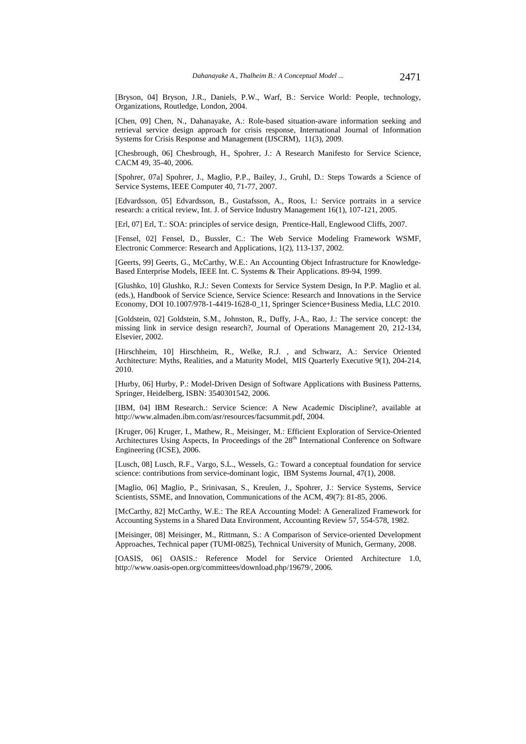[Bryson, 04] Bryson, J.R., Daniels, P.W., Warf, B.: Service World: People, technology, Organizations, Routledge, London, 2004.

[Chen, 09] Chen, N., Dahanayake, A.: Role-based situation-aware information seeking and retrieval service design approach for crisis response, International Journal of Information Systems for Crisis Response and Management (IJSCRM), 11(3), 2009.

[Chesbrough, 06] Chesbrough, H., Spohrer, J.: A Research Manifesto for Service Science, CACM 49, 35-40, 2006.

[Spohrer, 07a] Spohrer, J., Maglio, P.P., Bailey, J., Gruhl, D.: Steps Towards a Science of Service Systems, IEEE Computer 40, 71-77, 2007.

[Edvardsson, 05] Edvardsson, B., Gustafsson, A., Roos, I.: Service portraits in a service research: a critical review, Int. J. of Service Industry Management 16(1), 107-121, 2005.

[Erl, 07] Erl, T.: SOA: principles of service design, Prentice-Hall, Englewood Cliffs, 2007.

[Fensel, 02] Fensel, D., Bussler, C.: The Web Service Modeling Framework WSMF, Electronic Commerce: Research and Applications, 1(2), 113-137, 2002.

[Geerts, 99] Geerts, G., McCarthy, W.E.: An Accounting Object Infrastructure for Knowledge-Based Enterprise Models, IEEE Int. C. Systems & Their Applications. 89-94, 1999.

[Glushko, 10] Glushko, R.J.: Seven Contexts for Service System Design, In P.P. Maglio et al. (eds.), Handbook of Service Science, Service Science: Research and Innovations in the Service Economy, DOI 10.1007/978-1-4419-1628-0\_11, Springer Science+Business Media, LLC 2010.

[Goldstein, 02] Goldstein, S.M., Johnston, R., Duffy, J-A., Rao, J.: The service concept: the missing link in service design research?, Journal of Operations Management 20, 212-134, Elsevier, 2002.

[Hirschheim, 10] Hirschheim, R., Welke, R.J. , and Schwarz, A.: Service Oriented Architecture: Myths, Realities, and a Maturity Model, MIS Quarterly Executive 9(1), 204-214, 2010.

[Hurby, 06] Hurby, P.: Model-Driven Design of Software Applications with Business Patterns, Springer, Heidelberg, ISBN: 3540301542, 2006.

[IBM, 04] IBM Research.: Service Science: A New Academic Discipline?, available at http://www.almaden.ibm.com/asr/resources/facsummit.pdf, 2004.

[Kruger, 06] Kruger, I., Mathew, R., Meisinger, M.: Efficient Exploration of Service-Oriented Architectures Using Aspects, In Proceedings of the 28<sup>th</sup> International Conference on Software Engineering (ICSE), 2006.

[Lusch, 08] Lusch, R.F., Vargo, S.L., Wessels, G.: Toward a conceptual foundation for service science: contributions from service-dominant logic, IBM Systems Journal, 47(1), 2008.

[Maglio, 06] Maglio, P., Srinivasan, S., Kreulen, J., Spohrer, J.: Service Systems, Service Scientists, SSME, and Innovation, Communications of the ACM, 49(7): 81-85, 2006.

[McCarthy, 82] McCarthy, W.E.: The REA Accounting Model: A Generalized Framework for Accounting Systems in a Shared Data Environment, Accounting Review 57, 554-578, 1982.

[Meisinger, 08] Meisinger, M., Rittmann, S.: A Comparison of Service-oriented Development Approaches, Technical paper (TUMI-0825), Technical University of Munich, Germany, 2008.

[OASIS, 06] OASIS.: Reference Model for Service Oriented Architecture 1.0, http://www.oasis-open.org/committees/download.php/19679/, 2006.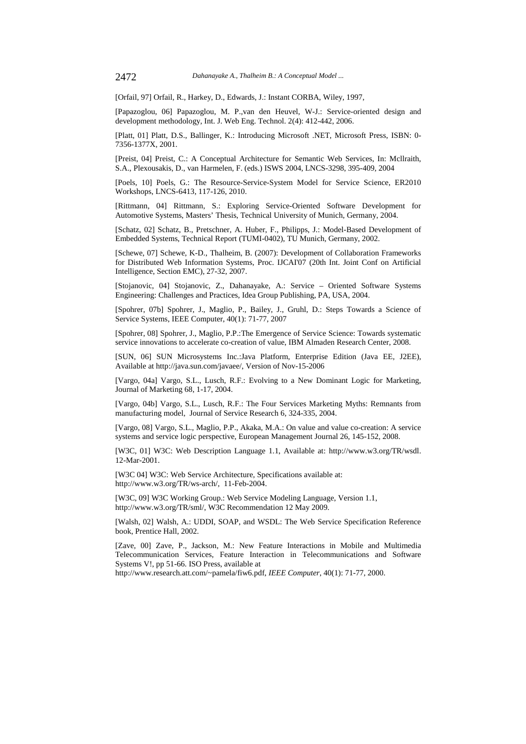[Orfail, 97] Orfail, R., Harkey, D., Edwards, J.: Instant CORBA, Wiley, 1997,

[Papazoglou, 06] Papazoglou, M. P.,van den Heuvel, W-J.: Service*-*oriented design and development methodology*,* Int. J. Web Eng. Technol. 2(4): 412-442, 2006.

[Platt, 01] Platt, D.S., Ballinger, K.: Introducing Microsoft .NET, Microsoft Press, ISBN: 0- 7356-1377X, 2001.

[Preist, 04] Preist, C.: A Conceptual Architecture for Semantic Web Services, In: Mcllraith, S.A., Plexousakis, D., van Harmelen, F. (eds.) ISWS 2004, LNCS-3298, 395-409, 2004

[Poels, 10] Poels, G.: The Resource-Service-System Model for Service Science, ER2010 Workshops, LNCS-6413, 117-126, 2010.

[Rittmann, 04] Rittmann, S.: Exploring Service-Oriented Software Development for Automotive Systems, Masters' Thesis, Technical University of Munich, Germany, 2004.

[Schatz, 02] Schatz, B., Pretschner, A. Huber, F., Philipps, J.: Model-Based Development of Embedded Systems, Technical Report (TUMI-0402), TU Munich, Germany, 2002.

[Schewe, 07] Schewe, K-D., Thalheim, B. (2007): Development of Collaboration Frameworks for Distributed Web Information Systems, Proc. IJCAI'07 (20th Int. Joint Conf on Artificial Intelligence, Section EMC), 27-32, 2007.

[Stojanovic, 04] Stojanovic, Z., Dahanayake, A.: Service – Oriented Software Systems Engineering: Challenges and Practices, Idea Group Publishing, PA, USA, 2004.

[Spohrer, 07b] Spohrer, J., Maglio, P., Bailey, J., Gruhl, D.: Steps Towards a Science of Service Systems, IEEE Computer, 40(1): 71-77, 2007

[Spohrer, 08] Spohrer, J., Maglio, P.P.:The Emergence of Service Science: Towards systematic service innovations to accelerate co-creation of value, IBM Almaden Research Center, 2008.

[SUN, 06] SUN Microsystems Inc.:Java Platform, Enterprise Edition (Java EE, J2EE), Available at http://java.sun.com/javaee/, Version of Nov-15-2006

[Vargo, 04a] Vargo, S.L., Lusch, R.F.: Evolving to a New Dominant Logic for Marketing, Journal of Marketing 68, 1-17, 2004.

[Vargo, 04b] Vargo, S.L., Lusch, R.F.: The Four Services Marketing Myths: Remnants from manufacturing model, Journal of Service Research 6, 324-335, 2004.

[Vargo, 08] Vargo, S.L., Maglio, P.P., Akaka, M.A.: On value and value co-creation: A service systems and service logic perspective, European Management Journal 26, 145-152, 2008.

[W3C, 01] W3C: Web Description Language 1.1, Available at: http://www.w3.org/TR/wsdl. 12-Mar-2001.

[W3C 04] W3C: Web Service Architecture, Specifications available at: http://www.w3.org/TR/ws-arch/, 11-Feb-2004.

[W3C, 09] W3C Working Group.: Web Service Modeling Language, Version 1.1, http://www.w3.org/TR/sml/, W3C Recommendation 12 May 2009.

[Walsh, 02] Walsh, A.: UDDI, SOAP, and WSDL: The Web Service Specification Reference book, Prentice Hall, 2002.

[Zave, 00] Zave, P., Jackson, M.: New Feature Interactions in Mobile and Multimedia Telecommunication Services, Feature Interaction in Telecommunications and Software Systems V!, pp 51-66. ISO Press, available at

http://www.research.att.com/~pamela/fiw6.pdf, *IEEE Computer*, 40(1): 71-77, 2000.